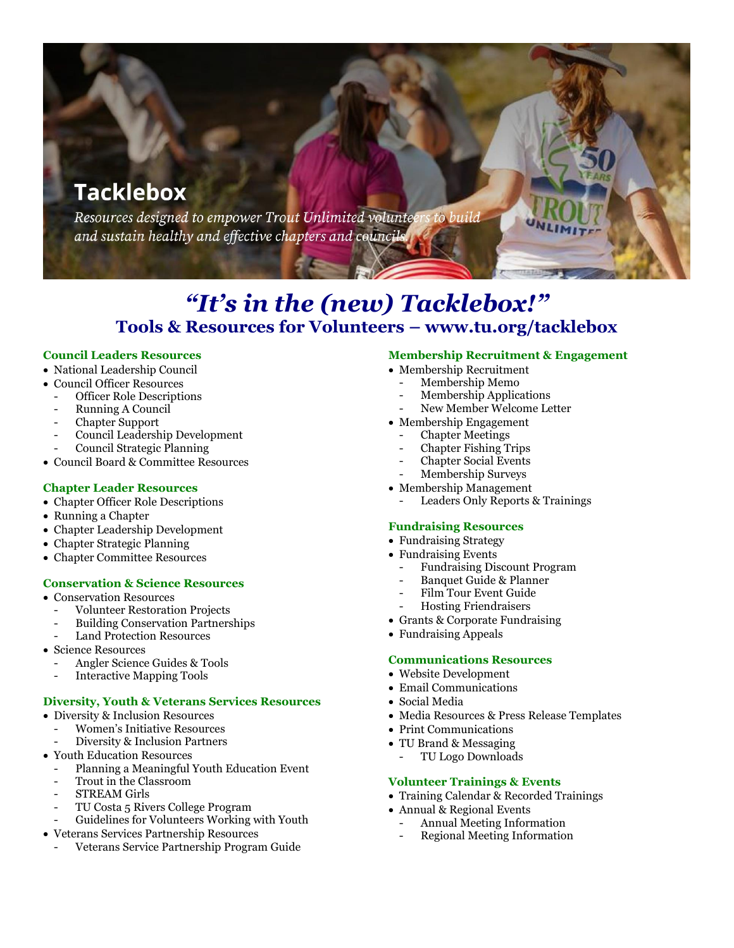# **Tacklebox**

Resources designed to empower Trout Unlimited volunteers to build and sustain healthy and effective chapters and councils

## *"It's in the (new) Tacklebox!"* **Tools & Resources for Volunteers – www.tu.org/tacklebox**

## **Council Leaders Resources**

- National Leadership Council
- Council Officer Resources
	- Officer Role Descriptions
	- Running A Council
	- Chapter Support
	- Council Leadership Development
	- Council Strategic Planning
- Council Board & Committee Resources

## **Chapter Leader Resources**

- Chapter Officer Role Descriptions
- Running a Chapter
- Chapter Leadership Development
- Chapter Strategic Planning
- Chapter Committee Resources

## **Conservation & Science Resources**

- Conservation Resources
	- Volunteer Restoration Projects
	- Building Conservation Partnerships
	- Land Protection Resources
- Science Resources
	- Angler Science Guides & Tools
	- Interactive Mapping Tools

#### **Diversity, Youth & Veterans Services Resources**

- Diversity & Inclusion Resources
	- Women's Initiative Resources
	- Diversity & Inclusion Partners
- Youth Education Resources
	- Planning a Meaningful Youth Education Event
	- Trout in the Classroom
	- STREAM Girls
	- TU Costa 5 Rivers College Program
	- Guidelines for Volunteers Working with Youth
- Veterans Services Partnership Resources
	- Veterans Service Partnership Program Guide

#### **Membership Recruitment & Engagement**

- Membership Recruitment
- Membership Memo
- Membership Applications
- New Member Welcome Letter
- Membership Engagement
	- **Chapter Meetings**
	- Chapter Fishing Trips
	- Chapter Social Events
- Membership Surveys
- Membership Management
	- Leaders Only Reports & Trainings

#### **Fundraising Resources**

- Fundraising Strategy
- Fundraising Events
	- Fundraising Discount Program
	- Banquet Guide & Planner
	- Film Tour Event Guide
	- Hosting Friendraisers
- Grants & Corporate Fundraising
- Fundraising Appeals

#### **Communications Resources**

- Website Development
- Email Communications
- Social Media
- Media Resources & Press Release Templates
- Print Communications
- TU Brand & Messaging
	- TU Logo Downloads

## **Volunteer Trainings & Events**

- Training Calendar & Recorded Trainings
- Annual & Regional Events
- Annual Meeting Information
- Regional Meeting Information